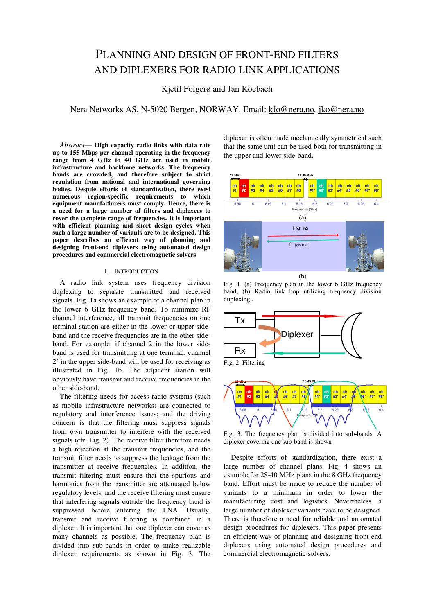# PLANNING AND DESIGN OF FRONT-END FILTERS AND DIPLEXERS FOR RADIO LINK APPLICATIONS

## Kjetil Folgerø and Jan Kocbach

Nera Networks AS, N-5020 Bergen, NORWAY. Email: kfo@nera.no, jko@nera.no

Abstract— High capacity radio links with data rate up to 155 Mbps per channel operating in the frequency range from 4 GHz to 40 GHz are used in mobile infrastructure and backbone networks. The frequency bands are crowded, and therefore subject to strict regulation from national and international governing bodies. Despite efforts of standardization, there exist numerous region-specific requirements to which equipment manufacturers must comply. Hence, there is a need for a large number of filters and diplexers to cover the complete range of frequencies. It is important with efficient planning and short design cycles when such a large number of variants are to be designed. This paper describes an efficient way of planning and designing front-end diplexers using automated design procedures and commercial electromagnetic solvers

## I. INTRODUCTION

A radio link system uses frequency division duplexing to separate transmitted and received signals. Fig. 1a shows an example of a channel plan in the lower 6 GHz frequency band. To minimize RF channel interference, all transmit frequencies on one terminal station are either in the lower or upper sideband and the receive frequencies are in the other sideband. For example, if channel 2 in the lower sideband is used for transmitting at one terminal, channel 2' in the upper side-band will be used for receiving as illustrated in Fig. 1b. The adjacent station will obviously have transmit and receive frequencies in the other side-band.

The filtering needs for access radio systems (such as mobile infrastructure networks) are connected to regulatory and interference issues; and the driving concern is that the filtering must suppress signals from own transmitter to interfere with the received signals (cfr. Fig. 2). The receive filter therefore needs a high rejection at the transmit frequencies, and the transmit filter needs to suppress the leakage from the transmitter at receive frequencies. In addition, the transmit filtering must ensure that the spurious and harmonics from the transmitter are attenuated below regulatory levels, and the receive filtering must ensure that interfering signals outside the frequency band is suppressed before entering the LNA. Usually, transmit and receive filtering is combined in a diplexer. It is important that one diplexer can cover as many channels as possible. The frequency plan is divided into sub-bands in order to make realizable diplexer requirements as shown in Fig. 3. The

diplexer is often made mechanically symmetrical such that the same unit can be used both for transmitting in the upper and lower side-band.



Fig. 1. (a) Frequency plan in the lower 6 GHz frequency band, (b) Radio link hop utilizing frequency division duplexing .





Fig. 3. The frequency plan is divided into sub-bands. A diplexer covering one sub-band is shown

Despite efforts of standardization, there exist a large number of channel plans. Fig. 4 shows an example for 28-40 MHz plans in the 8 GHz frequency band. Effort must be made to reduce the number of variants to a minimum in order to lower the manufacturing cost and logistics. Nevertheless, a large number of diplexer variants have to be designed. There is therefore a need for reliable and automated design procedures for diplexers. This paper presents an efficient way of planning and designing front-end diplexers using automated design procedures and commercial electromagnetic solvers.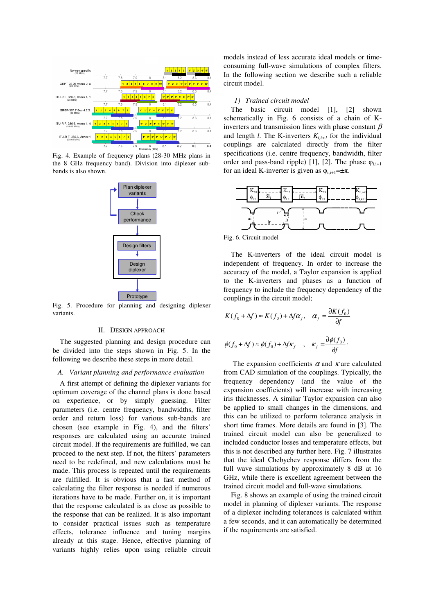

Fig. 4. Example of frequency plans (28-30 MHz plans in the 8 GHz frequency band). Division into diplexer subbands is also shown.



Fig. 5. Procedure for planning and designing diplexer variants.

## II. DESIGN APPROACH

The suggested planning and design procedure can be divided into the steps shown in Fig. 5. In the following we describe these steps in more detail.

#### A. Variant planning and performance evaluation

A first attempt of defining the diplexer variants for optimum coverage of the channel plans is done based on experience, or by simply guessing. Filter parameters (i.e. centre frequency, bandwidths, filter order and return loss) for various sub-bands are chosen (see example in Fig. 4), and the filters' responses are calculated using an accurate trained circuit model. If the requirements are fulfilled, we can proceed to the next step. If not, the filters' parameters need to be redefined, and new calculations must be made. This process is repeated until the requirements are fulfilled. It is obvious that a fast method of calculating the filter response is needed if numerous iterations have to be made. Further on, it is important that the response calculated is as close as possible to the response that can be realized. It is also important to consider practical issues such as temperature effects, tolerance influence and tuning margins already at this stage. Hence, effective planning of variants highly relies upon using reliable circuit

models instead of less accurate ideal models or timeconsuming full-wave simulations of complex filters. In the following section we describe such a reliable circuit model.

#### 1) Trained circuit model

The basic circuit model [1], [2] shown schematically in Fig. 6 consists of a chain of Kinverters and transmission lines with phase constant  $\beta$ and length *l*. The K-inverters  $K_{i,i+1}$  for the individual couplings are calculated directly from the filter specifications (i.e. centre frequency, bandwidth, filter order and pass-band ripple) [1], [2]. The phase  $\varphi_{i,i+1}$ for an ideal K-inverter is given as  $\varphi_{i,i+1} = \pm \pi$ .



Fig. 6. Circuit model

The K-inverters of the ideal circuit model is independent of frequency. In order to increase the accuracy of the model, a Taylor expansion is applied to the K-inverters and phases as a function of frequency to include the frequency dependency of the couplings in the circuit model;

$$
K(f_0 + \Delta f) \approx K(f_0) + \Delta f \alpha_f, \quad \alpha_f = \frac{\partial K(f_0)}{\partial f}
$$
  

$$
\phi(f_0 + \Delta f) \approx \phi(f_0) + \Delta f \kappa_f, \quad \kappa_f = \frac{\partial \phi(f_0)}{\partial f}.
$$

The expansion coefficients  $\alpha$  and  $\kappa$  are calculated from CAD simulation of the couplings. Typically, the frequency dependency (and the value of the expansion coefficients) will increase with increasing iris thicknesses. A similar Taylor expansion can also be applied to small changes in the dimensions, and this can be utilized to perform tolerance analysis in short time frames. More details are found in [3]. The trained circuit model can also be generalized to included conductor losses and temperature effects, but this is not described any further here. Fig. 7 illustrates that the ideal Chebychev response differs from the full wave simulations by approximately 8 dB at 16 GHz, while there is excellent agreement between the trained circuit model and full-wave simulations.

Fig. 8 shows an example of using the trained circuit model in planning of diplexer variants. The response of a diplexer including tolerances is calculated within a few seconds, and it can automatically be determined if the requirements are satisfied.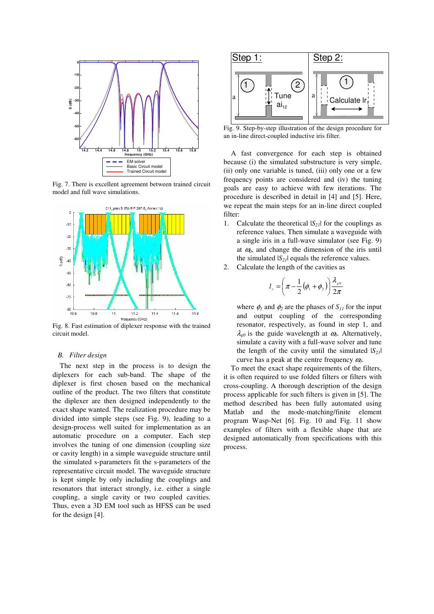

Fig. 7. There is excellent agreement between trained circuit model and full wave simulations.



Fig. 8. Fast estimation of diplexer response with the trained circuit model.

### B. Filter design

The next step in the process is to design the diplexers for each sub-band. The shape of the diplexer is first chosen based on the mechanical outline of the product. The two filters that constitute the diplexer are then designed independently to the exact shape wanted. The realization procedure may be divided into simple steps (see Fig. 9), leading to a design-process well suited for implementation as an automatic procedure on a computer. Each step involves the tuning of one dimension (coupling size or cavity length) in a simple waveguide structure until the simulated s-parameters fit the s-parameters of the representative circuit model. The waveguide structure is kept simple by only including the couplings and resonators that interact strongly, i.e. either a single coupling, a single cavity or two coupled cavities. Thus, even a 3D EM tool such as HFSS can be used for the design [4].



Fig. 9. Step-by-step illustration of the design procedure for an in-line direct-coupled inductive iris filter.

A fast convergence for each step is obtained because (i) the simulated substructure is very simple, (ii) only one variable is tuned, (iii) only one or a few frequency points are considered and (iv) the tuning goals are easy to achieve with few iterations. The procedure is described in detail in [4] and [5]. Here, we repeat the main steps for an in-line direct coupled filter:

- 1. Calculate the theoretical  $|S_{21}|$  for the couplings as reference values. Then simulate a waveguide with a single iris in a full-wave simulator (see Fig. 9) at  $a_0$ , and change the dimension of the iris until the simulated  $|S_{21}|$  equals the reference values.
- 2. Calculate the length of the cavities as

$$
l_r = \left(\pi - \frac{1}{2}(\phi_1 + \phi_2)\right) \frac{\lambda_{g0}}{2\pi}
$$

where  $\phi_l$  and  $\phi_2$  are the phases of  $S_{11}$  for the input and output coupling of the corresponding resonator, respectively, as found in step 1, and  $\lambda_{00}$  is the guide wavelength at  $\omega_0$ . Alternatively, simulate a cavity with a full-wave solver and tune the length of the cavity until the simulated  $|S_{21}|$ curve has a peak at the centre frequency  $\omega_0$ .

To meet the exact shape requirements of the filters, it is often required to use folded filters or filters with cross-coupling. A thorough description of the design process applicable for such filters is given in [5]. The method described has been fully automated using Matlab and the mode-matching/finite element program Wasp-Net [6]. Fig. 10 and Fig. 11 show examples of filters with a flexible shape that are designed automatically from specifications with this process.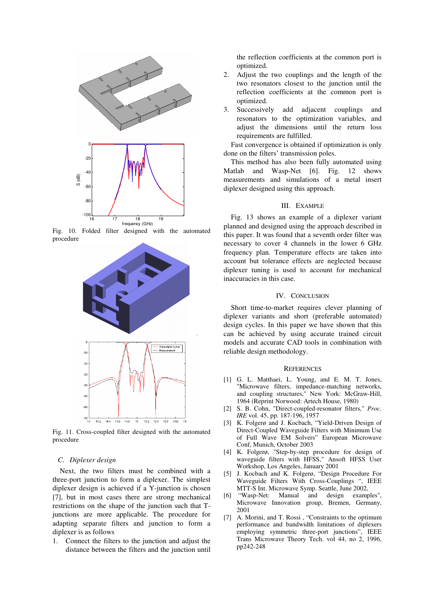

Fig. 10. Folded filter designed with the automated procedure



Fig. 11. Cross-coupled filter designed with the automated procedure

#### C. Diplexer design

Next, the two filters must be combined with a three-port junction to form a diplexer. The simplest diplexer design is achieved if a Y-junction is chosen [7], but in most cases there are strong mechanical restrictions on the shape of the junction such that Tjunctions are more applicable. The procedure for adapting separate filters and junction to form a diplexer is as follows

1. Connect the filters to the junction and adjust the distance between the filters and the junction until the reflection coefficients at the common port is optimized.

- 2. Adjust the two couplings and the length of the two resonators closest to the junction until the reflection coefficients at the common port is optimized.
- 3. Successively add adjacent couplings and resonators to the optimization variables, and adjust the dimensions until the return loss requirements are fulfilled.

Fast convergence is obtained if optimization is only done on the filters' transmission poles.

This method has also been fully automated using Matlab and Wasp-Net [6]. Fig. 12 shows measurements and simulations of a metal insert diplexer designed using this approach.

### III. EXAMPLE

Fig. 13 shows an example of a diplexer variant planned and designed using the approach described in this paper. It was found that a seventh order filter was necessary to cover 4 channels in the lower 6 GHz frequency plan. Temperature effects are taken into account but tolerance effects are neglected because diplexer tuning is used to account for mechanical inaccuracies in this case.

#### IV. CONCLUSION

Short time-to-market requires clever planning of diplexer variants and short (preferable automated) design cycles. In this paper we have shown that this can be achieved by using accurate trained circuit models and accurate CAD tools in combination with reliable design methodology.

#### **REFERENCES**

- [1] G. L. Matthaei, L. Young, and E. M. T. Jones, "Microwave filters, impedance-matching networks, and coupling structures," New York: McGraw-Hill, 1964 (Reprint Norwood: Artech House, 1980)
- [2] S. B. Cohn, "Direct-coupled-resonator filters," Proc. IRE vol. 45, pp. 187-196, 1957
- [3] K. Folgerø and J. Kocbach, "Yield-Driven Design of Direct-Coupled Waveguide Filters with Minimum Use of Full Wave EM Solvers" European Microwave Conf, Munich, October 2003
- [4] K. Folgerø, "Step-by-step procedure for design of waveguide filters with HFSS," Ansoft HFSS User Workshop, Los Angeles, January 2001
- [5] J. Kocbach and K. Folgerø, "Design Procedure For Waveguide Filters With Cross-Couplings ", IEEE MTT-S Int. Microwave Symp. Seattle, June 2002,
- [6] "Wasp-Net: Manual and design examples", Microwave Innovation group, Bremen, Germany, 2001
- [7] A. Morini, and T. Rossi , "Constraints to the optimum performance and bandwidth limitations of diplexers employing symmetric three-port junctions", IEEE Trans Microwave Theory Tech. vol 44, no 2, 1996, pp242-248